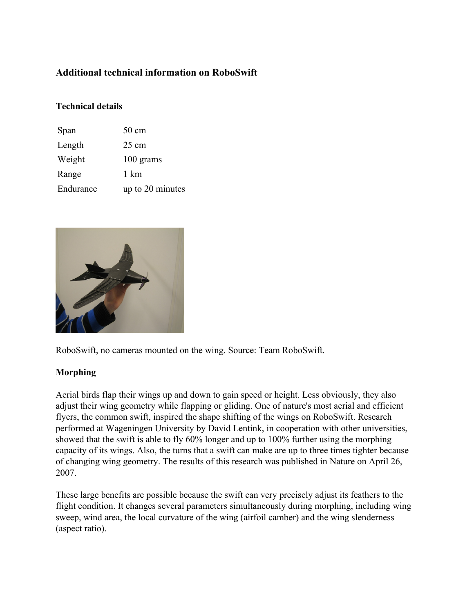# **Additional technical information on RoboSwift**

## **Technical details**

| Span      | 50 cm            |
|-----------|------------------|
| Length    | $25 \text{ cm}$  |
| Weight    | 100 grams        |
| Range     | 1 km             |
| Endurance | up to 20 minutes |



RoboSwift, no cameras mounted on the wing. Source: Team RoboSwift.

## **Morphing**

Aerial birds flap their wings up and down to gain speed or height. Less obviously, they also adjust their wing geometry while flapping or gliding. One of nature's most aerial and efficient flyers, the common swift, inspired the shape shifting of the wings on RoboSwift. Research performed at Wageningen University by David Lentink, in cooperation with other universities, showed that the swift is able to fly 60% longer and up to 100% further using the morphing capacity of its wings. Also, the turns that a swift can make are up to three times tighter because of changing wing geometry. The results of this research was published in Nature on April 26, 2007.

These large benefits are possible because the swift can very precisely adjust its feathers to the flight condition. It changes several parameters simultaneously during morphing, including wing sweep, wind area, the local curvature of the wing (airfoil camber) and the wing slenderness (aspect ratio).